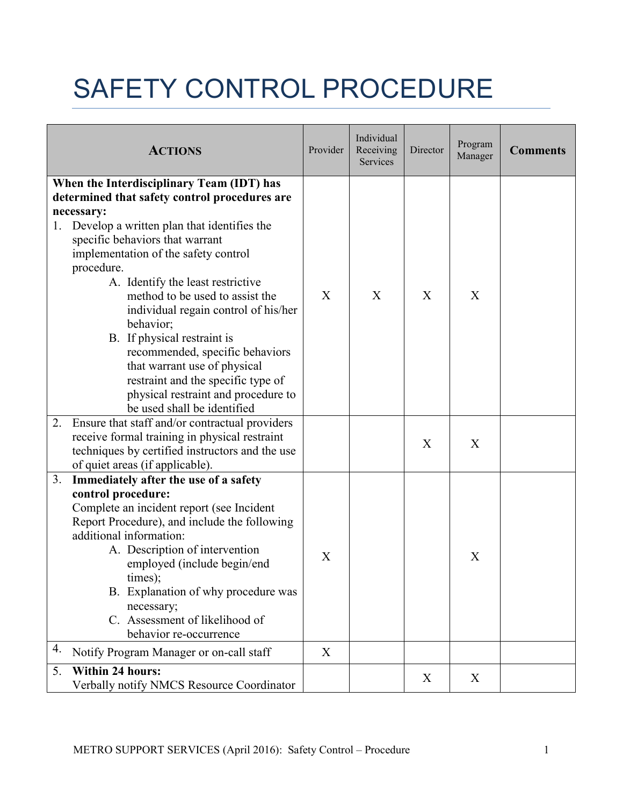## SAFETY CONTROL PROCEDURE

| <b>ACTIONS</b>                                                                                                                                                                                                                                                                                                                                                                                                                                                                                                                                                                                   | Provider         | Individual<br>Receiving<br>Services | Director | Program<br>Manager | <b>Comments</b> |
|--------------------------------------------------------------------------------------------------------------------------------------------------------------------------------------------------------------------------------------------------------------------------------------------------------------------------------------------------------------------------------------------------------------------------------------------------------------------------------------------------------------------------------------------------------------------------------------------------|------------------|-------------------------------------|----------|--------------------|-----------------|
| When the Interdisciplinary Team (IDT) has<br>determined that safety control procedures are<br>necessary:<br>Develop a written plan that identifies the<br>1.<br>specific behaviors that warrant<br>implementation of the safety control<br>procedure.<br>A. Identify the least restrictive<br>method to be used to assist the<br>individual regain control of his/her<br>behavior;<br>B. If physical restraint is<br>recommended, specific behaviors<br>that warrant use of physical<br>restraint and the specific type of<br>physical restraint and procedure to<br>be used shall be identified | X                | X                                   | X        | X                  |                 |
| Ensure that staff and/or contractual providers<br>2.<br>receive formal training in physical restraint<br>techniques by certified instructors and the use<br>of quiet areas (if applicable).                                                                                                                                                                                                                                                                                                                                                                                                      |                  |                                     | X        | X                  |                 |
| Immediately after the use of a safety<br>3.<br>control procedure:<br>Complete an incident report (see Incident<br>Report Procedure), and include the following<br>additional information:<br>A. Description of intervention<br>employed (include begin/end<br>times);<br>B. Explanation of why procedure was<br>necessary;<br>C. Assessment of likelihood of<br>behavior re-occurrence                                                                                                                                                                                                           | $\boldsymbol{X}$ |                                     |          | X                  |                 |
| 4.<br>Notify Program Manager or on-call staff                                                                                                                                                                                                                                                                                                                                                                                                                                                                                                                                                    | X                |                                     |          |                    |                 |
| <b>Within 24 hours:</b><br>5.<br>Verbally notify NMCS Resource Coordinator                                                                                                                                                                                                                                                                                                                                                                                                                                                                                                                       |                  |                                     | X        | X                  |                 |